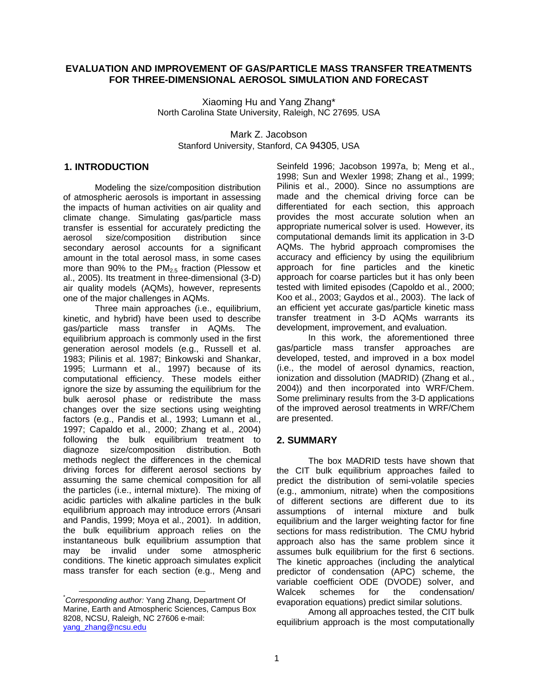# **EVALUATION AND IMPROVEMENT OF GAS/PARTICLE MASS TRANSFER TREATMENTS FOR THREE-DIMENSIONAL AEROSOL SIMULATION AND FORECAST**

Xiaoming Hu and Yang Zhang\* North Carolina State University, Raleigh, NC 27695, USA

Mark Z. Jacobson Stanford University, Stanford, CA 94305, USA

### **1. INTRODUCTION**

Modeling the size/composition distribution of atmospheric aerosols is important in assessing the impacts of human activities on air quality and climate change. Simulating gas/particle mass transfer is essential for accurately predicting the<br>aerosol size/composition distribution since size/composition distribution since secondary aerosol accounts for a significant amount in the total aerosol mass, in some cases more than 90% to the  $PM<sub>2.5</sub>$  fraction (Plessow et al., 2005). Its treatment in three-dimensional (3-D) air quality models (AQMs), however, represents one of the major challenges in AQMs.

Three main approaches (i.e., equilibrium, kinetic, and hybrid) have been used to describe gas/particle mass transfer in AQMs. The equilibrium approach is commonly used in the first generation aerosol models (e.g., Russell et al. 1983; Pilinis et al. 1987; Binkowski and Shankar, 1995; Lurmann et al., 1997) because of its computational efficiency. These models either ignore the size by assuming the equilibrium for the bulk aerosol phase or redistribute the mass changes over the size sections using weighting factors (e.g., Pandis et al., 1993; Lumann et al., 1997; Capaldo et al., 2000; Zhang et al., 2004) following the bulk equilibrium treatment to diagnoze size/composition distribution. Both methods neglect the differences in the chemical driving forces for different aerosol sections by assuming the same chemical composition for all the particles (i.e., internal mixture). The mixing of acidic particles with alkaline particles in the bulk equilibrium approach may introduce errors (Ansari and Pandis, 1999; Moya et al., 2001). In addition, the bulk equilibrium approach relies on the instantaneous bulk equilibrium assumption that may be invalid under some atmospheric conditions. The kinetic approach simulates explicit mass transfer for each section (e.g., Meng and

Seinfeld 1996; Jacobson 1997a, b; Meng et al., 1998; Sun and Wexler 1998; Zhang et al., 1999; Pilinis et al., 2000). Since no assumptions are made and the chemical driving force can be differentiated for each section, this approach provides the most accurate solution when an appropriate numerical solver is used. However, its computational demands limit its application in 3-D AQMs. The hybrid approach compromises the accuracy and efficiency by using the equilibrium approach for fine particles and the kinetic approach for coarse particles but it has only been tested with limited episodes (Capoldo et al., 2000; Koo et al., 2003; Gaydos et al., 2003). The lack of an efficient yet accurate gas/particle kinetic mass transfer treatment in 3-D AQMs warrants its development, improvement, and evaluation.

In this work, the aforementioned three gas/particle mass transfer approaches are developed, tested, and improved in a box model (i.e., the model of aerosol dynamics, reaction, ionization and dissolution (MADRID) (Zhang et al., 2004)) and then incorporated into WRF/Chem. Some preliminary results from the 3-D applications of the improved aerosol treatments in WRF/Chem are presented.

#### **2. SUMMARY**

The box MADRID tests have shown that the CIT bulk equilibrium approaches failed to predict the distribution of semi-volatile species (e.g., ammonium, nitrate) when the compositions of different sections are different due to its assumptions of internal mixture and bulk equilibrium and the larger weighting factor for fine sections for mass redistribution. The CMU hybrid approach also has the same problem since it assumes bulk equilibrium for the first 6 sections. The kinetic approaches (including the analytical predictor of condensation (APC) scheme, the variable coefficient ODE (DVODE) solver, and Walcek schemes for the condensation/ evaporation equations) predict similar solutions.

Among all approaches tested, the CIT bulk equilibrium approach is the most computationally

 <sup>\*</sup> *Corresponding author:* Yang Zhang, Department Of Marine, Earth and Atmospheric Sciences, Campus Box 8208, NCSU, Raleigh, NC 27606 e-mail: [yang\\_zhang@ncsu.edu](mailto:yang_zhang@ncsu.edu)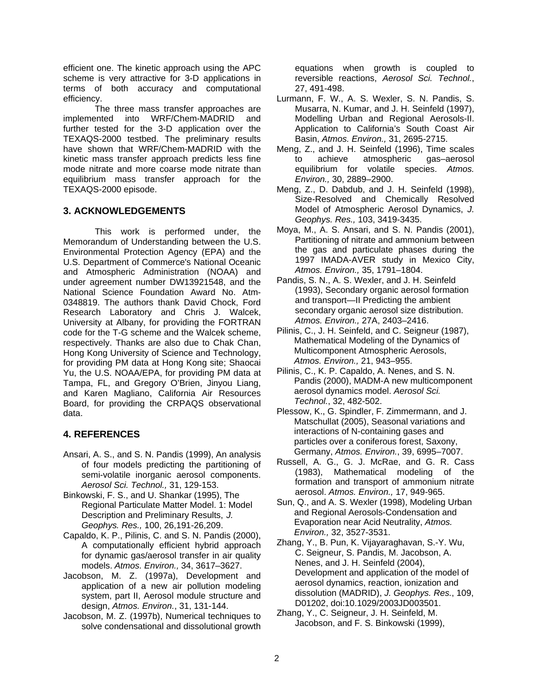efficient one. The kinetic approach using the APC scheme is very attractive for 3-D applications in terms of both accuracy and computational efficiency.

The three mass transfer approaches are implemented into WRF/Chem-MADRID and further tested for the 3-D application over the TEXAQS-2000 testbed. The preliminary results have shown that WRF/Chem-MADRID with the kinetic mass transfer approach predicts less fine mode nitrate and more coarse mode nitrate than equilibrium mass transfer approach for the TEXAQS-2000 episode.

# **3. ACKNOWLEDGEMENTS**

This work is performed under, the Memorandum of Understanding between the U.S. Environmental Protection Agency (EPA) and the U.S. Department of Commerce's National Oceanic and Atmospheric Administration (NOAA) and under agreement number DW13921548, and the National Science Foundation Award No. Atm-0348819. The authors thank David Chock, Ford Research Laboratory and Chris J. Walcek, University at Albany, for providing the FORTRAN code for the T-G scheme and the Walcek scheme, respectively. Thanks are also due to Chak Chan, Hong Kong University of Science and Technology, for providing PM data at Hong Kong site; Shaocai Yu, the U.S. NOAA/EPA, for providing PM data at Tampa, FL, and Gregory O'Brien, Jinyou Liang, and Karen Magliano, California Air Resources Board, for providing the CRPAQS observational data.

# **4. REFERENCES**

- Ansari, A. S., and S. N. Pandis (1999), An analysis of four models predicting the partitioning of semi-volatile inorganic aerosol components. *Aerosol Sci. Technol.,* 31, 129-153.
- Binkowski, F. S., and U. Shankar (1995), The Regional Particulate Matter Model. 1: Model Description and Preliminary Results, *J. Geophys. Res.,* 100, 26,191-26,209.
- Capaldo, K. P., Pilinis, C. and S. N. Pandis (2000), A computationally efficient hybrid approach for dynamic gas/aerosol transfer in air quality models. *Atmos. Environ.,* 34, 3617–3627.
- Jacobson, M. Z. (1997a), Development and application of a new air pollution modeling system, part II, Aerosol module structure and design, *Atmos. Environ.*, 31, 131-144.
- Jacobson, M. Z. (1997b), Numerical techniques to solve condensational and dissolutional growth

equations when growth is coupled to reversible reactions, *Aerosol Sci. Technol.*, 27, 491-498.

- Lurmann, F. W., A. S. Wexler, S. N. Pandis, S. Musarra, N. Kumar, and J. H. Seinfeld (1997), Modelling Urban and Regional Aerosols-II. Application to California's South Coast Air Basin, *Atmos. Environ.,* 31, 2695-2715.
- Meng, Z., and J. H. Seinfeld (1996), Time scales to achieve atmospheric gas–aerosol equilibrium for volatile species. *Atmos. Environ.,* 30, 2889–2900.
- Meng, Z., D. Dabdub, and J. H. Seinfeld (1998), Size-Resolved and Chemically Resolved Model of Atmospheric Aerosol Dynamics, *J. Geophys. Res.,* 103, 3419-3435.
- Moya, M., A. S. Ansari, and S. N. Pandis (2001), Partitioning of nitrate and ammonium between the gas and particulate phases during the 1997 IMADA-AVER study in Mexico City, *Atmos. Environ.,* 35, 1791–1804.
- Pandis, S. N., A. S. Wexler, and J. H. Seinfeld (1993), Secondary organic aerosol formation and transport—II Predicting the ambient secondary organic aerosol size distribution. *Atmos. Environ.,* 27A, 2403–2416.
- Pilinis, C., J. H. Seinfeld, and C. Seigneur (1987), Mathematical Modeling of the Dynamics of Multicomponent Atmospheric Aerosols, *Atmos. Environ.,* 21, 943–955.
- Pilinis, C., K. P. Capaldo, A. Nenes, and S. N. Pandis (2000), MADM-A new multicomponent aerosol dynamics model. *Aerosol Sci. Technol.*, 32, 482-502.
- Plessow, K., G. Spindler, F. Zimmermann, and J. Matschullat (2005), Seasonal variations and interactions of N-containing gases and particles over a coniferous forest, Saxony, Germany, *Atmos. Environ.*, 39, 6995–7007.
- Russell, A. G., G. J. McRae, and G. R. Cass (1983), Mathematical modeling of the formation and transport of ammonium nitrate aerosol. *Atmos. Environ.,* 17, 949-965.
- Sun, Q., and A. S. Wexler (1998), Modeling Urban and Regional Aerosols-Condensation and Evaporation near Acid Neutrality, *Atmos. Environ.,* 32, 3527-3531.
- Zhang, Y., B. Pun, K. Vijayaraghavan, S.-Y. Wu, C. Seigneur, S. Pandis, M. Jacobson, A. Nenes, and J. H. Seinfeld (2004), Development and application of the model of aerosol dynamics, reaction, ionization and dissolution (MADRID), *J. Geophys. Res.*, 109, D01202, doi:10.1029/2003JD003501.
- Zhang, Y., C. Seigneur, J. H. Seinfeld, M. Jacobson, and F. S. Binkowski (1999),